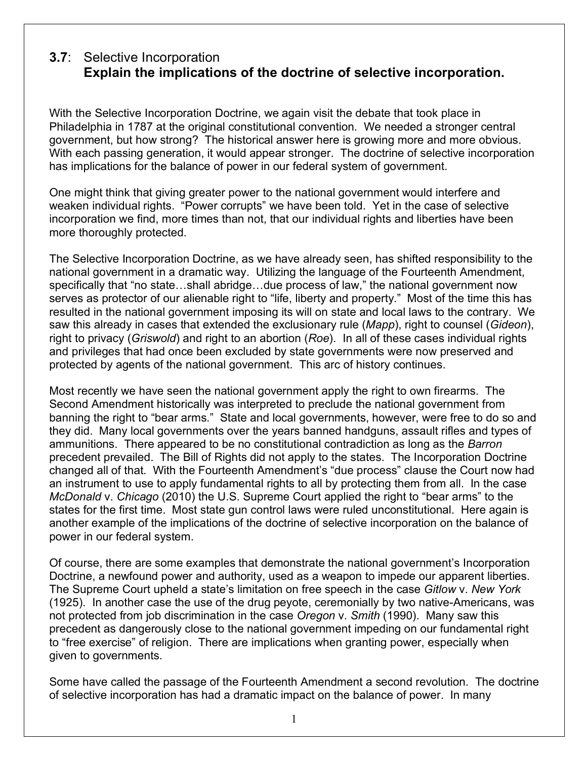## **3.7**: Selective Incorporation **Explain the implications of the doctrine of selective incorporation.**

With the Selective Incorporation Doctrine, we again visit the debate that took place in Philadelphia in 1787 at the original constitutional convention. We needed a stronger central government, but how strong? The historical answer here is growing more and more obvious. With each passing generation, it would appear stronger. The doctrine of selective incorporation has implications for the balance of power in our federal system of government.

One might think that giving greater power to the national government would interfere and weaken individual rights. "Power corrupts" we have been told. Yet in the case of selective incorporation we find, more times than not, that our individual rights and liberties have been more thoroughly protected.

The Selective Incorporation Doctrine, as we have already seen, has shifted responsibility to the national government in a dramatic way. Utilizing the language of the Fourteenth Amendment, specifically that "no state…shall abridge…due process of law," the national government now serves as protector of our alienable right to "life, liberty and property." Most of the time this has resulted in the national government imposing its will on state and local laws to the contrary. We saw this already in cases that extended the exclusionary rule (*Mapp*), right to counsel (*Gideon*), right to privacy (*Griswold*) and right to an abortion (*Roe*). In all of these cases individual rights and privileges that had once been excluded by state governments were now preserved and protected by agents of the national government. This arc of history continues.

Most recently we have seen the national government apply the right to own firearms. The Second Amendment historically was interpreted to preclude the national government from banning the right to "bear arms." State and local governments, however, were free to do so and they did. Many local governments over the years banned handguns, assault rifles and types of ammunitions. There appeared to be no constitutional contradiction as long as the *Barron* precedent prevailed. The Bill of Rights did not apply to the states. The Incorporation Doctrine changed all of that. With the Fourteenth Amendment's "due process" clause the Court now had an instrument to use to apply fundamental rights to all by protecting them from all. In the case *McDonald* v. *Chicago* (2010) the U.S. Supreme Court applied the right to "bear arms" to the states for the first time. Most state gun control laws were ruled unconstitutional. Here again is another example of the implications of the doctrine of selective incorporation on the balance of power in our federal system.

Of course, there are some examples that demonstrate the national government's Incorporation Doctrine, a newfound power and authority, used as a weapon to impede our apparent liberties. The Supreme Court upheld a state's limitation on free speech in the case *Gitlow* v. *New York* (1925). In another case the use of the drug peyote, ceremonially by two native-Americans, was not protected from job discrimination in the case *Oregon* v. *Smith* (1990). Many saw this precedent as dangerously close to the national government impeding on our fundamental right to "free exercise" of religion. There are implications when granting power, especially when given to governments.

Some have called the passage of the Fourteenth Amendment a second revolution. The doctrine of selective incorporation has had a dramatic impact on the balance of power. In many